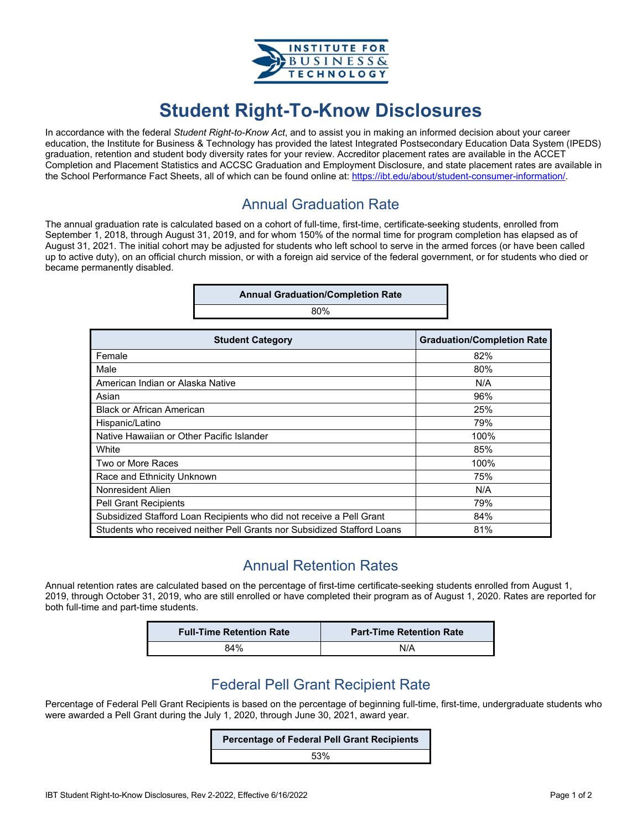

# **Student Right-To-Know Disclosures**

In accordance with the federal *Student Right-to-Know Act*, and to assist you in making an informed decision about your career education, the Institute for Business & Technology has provided the latest Integrated Postsecondary Education Data System (IPEDS) graduation, retention and student body diversity rates for your review. Accreditor placement rates are available in the ACCET Completion and Placement Statistics and ACCSC Graduation and Employment Disclosure, and state placement rates are available in the School Performance Fact Sheets, all of which can be found online at: https://ibt.edu/about/student-consumer-information/.

#### Annual Graduation Rate

The annual graduation rate is calculated based on a cohort of full-time, first-time, certificate-seeking students, enrolled from September 1, 2018, through August 31, 2019, and for whom 150% of the normal time for program completion has elapsed as of August 31, 2021. The initial cohort may be adjusted for students who left school to serve in the armed forces (or have been called up to active duty), on an official church mission, or with a foreign aid service of the federal government, or for students who died or became permanently disabled.

| <b>Annual Graduation/Completion Rate</b> |  |
|------------------------------------------|--|
| 80%                                      |  |

| <b>Student Category</b>                                                 | <b>Graduation/Completion Rate</b> |
|-------------------------------------------------------------------------|-----------------------------------|
| Female                                                                  | 82%                               |
| Male                                                                    | 80%                               |
| American Indian or Alaska Native                                        | N/A                               |
| Asian                                                                   | 96%                               |
| <b>Black or African American</b>                                        | 25%                               |
| Hispanic/Latino                                                         | 79%                               |
| Native Hawaiian or Other Pacific Islander                               | 100%                              |
| White                                                                   | 85%                               |
| Two or More Races                                                       | 100%                              |
| Race and Ethnicity Unknown                                              | 75%                               |
| Nonresident Alien                                                       | N/A                               |
| <b>Pell Grant Recipients</b>                                            | 79%                               |
| Subsidized Stafford Loan Recipients who did not receive a Pell Grant    | 84%                               |
| Students who received neither Pell Grants nor Subsidized Stafford Loans | 81%                               |

### Annual Retention Rates

Annual retention rates are calculated based on the percentage of first-time certificate-seeking students enrolled from August 1, 2019, through October 31, 2019, who are still enrolled or have completed their program as of August 1, 2020. Rates are reported for both full-time and part-time students.

| <b>Full-Time Retention Rate</b> | <b>Part-Time Retention Rate</b> |
|---------------------------------|---------------------------------|
| 84%                             | N/A                             |

#### Federal Pell Grant Recipient Rate

Percentage of Federal Pell Grant Recipients is based on the percentage of beginning full-time, first-time, undergraduate students who were awarded a Pell Grant during the July 1, 2020, through June 30, 2021, award year.

#### **Percentage of Federal Pell Grant Recipients**

53%